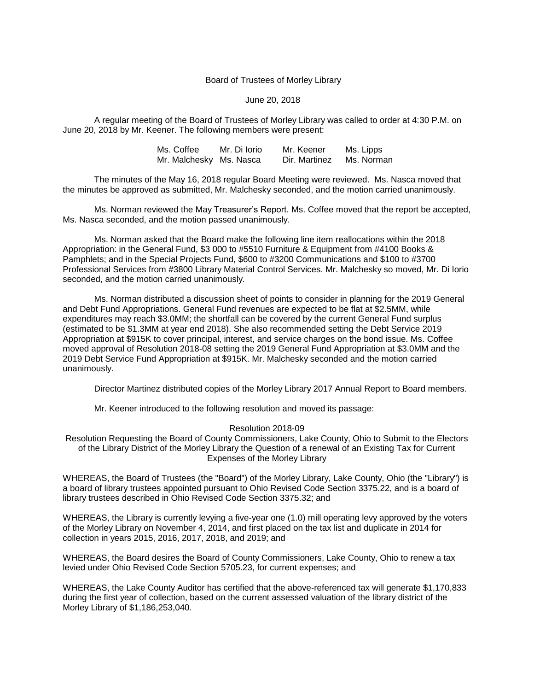## Board of Trustees of Morley Library

## June 20, 2018

A regular meeting of the Board of Trustees of Morley Library was called to order at 4:30 P.M. on June 20, 2018 by Mr. Keener. The following members were present:

| Ms. Coffee              | Mr. Di Iorio | Mr. Keener    | Ms. Lipps  |
|-------------------------|--------------|---------------|------------|
| Mr. Malchesky Ms. Nasca |              | Dir. Martinez | Ms. Norman |

The minutes of the May 16, 2018 regular Board Meeting were reviewed. Ms. Nasca moved that the minutes be approved as submitted, Mr. Malchesky seconded, and the motion carried unanimously.

Ms. Norman reviewed the May Treasurer's Report. Ms. Coffee moved that the report be accepted, Ms. Nasca seconded, and the motion passed unanimously.

Ms. Norman asked that the Board make the following line item reallocations within the 2018 Appropriation: in the General Fund, \$3 000 to #5510 Furniture & Equipment from #4100 Books & Pamphlets; and in the Special Projects Fund, \$600 to #3200 Communications and \$100 to #3700 Professional Services from #3800 Library Material Control Services. Mr. Malchesky so moved, Mr. Di Iorio seconded, and the motion carried unanimously.

Ms. Norman distributed a discussion sheet of points to consider in planning for the 2019 General and Debt Fund Appropriations. General Fund revenues are expected to be flat at \$2.5MM, while expenditures may reach \$3.0MM; the shortfall can be covered by the current General Fund surplus (estimated to be \$1.3MM at year end 2018). She also recommended setting the Debt Service 2019 Appropriation at \$915K to cover principal, interest, and service charges on the bond issue. Ms. Coffee moved approval of Resolution 2018-08 setting the 2019 General Fund Appropriation at \$3.0MM and the 2019 Debt Service Fund Appropriation at \$915K. Mr. Malchesky seconded and the motion carried unanimously.

Director Martinez distributed copies of the Morley Library 2017 Annual Report to Board members.

Mr. Keener introduced to the following resolution and moved its passage:

## Resolution 2018-09

Resolution Requesting the Board of County Commissioners, Lake County, Ohio to Submit to the Electors of the Library District of the Morley Library the Question of a renewal of an Existing Tax for Current Expenses of the Morley Library

WHEREAS, the Board of Trustees (the "Board") of the Morley Library, Lake County, Ohio (the "Library") is a board of library trustees appointed pursuant to Ohio Revised Code Section 3375.22, and is a board of library trustees described in Ohio Revised Code Section 3375.32; and

WHEREAS, the Library is currently levying a five-year one (1.0) mill operating levy approved by the voters of the Morley Library on November 4, 2014, and first placed on the tax list and duplicate in 2014 for collection in years 2015, 2016, 2017, 2018, and 2019; and

WHEREAS, the Board desires the Board of County Commissioners, Lake County, Ohio to renew a tax levied under Ohio Revised Code Section 5705.23, for current expenses; and

WHEREAS, the Lake County Auditor has certified that the above-referenced tax will generate \$1,170,833 during the first year of collection, based on the current assessed valuation of the library district of the Morley Library of \$1,186,253,040.